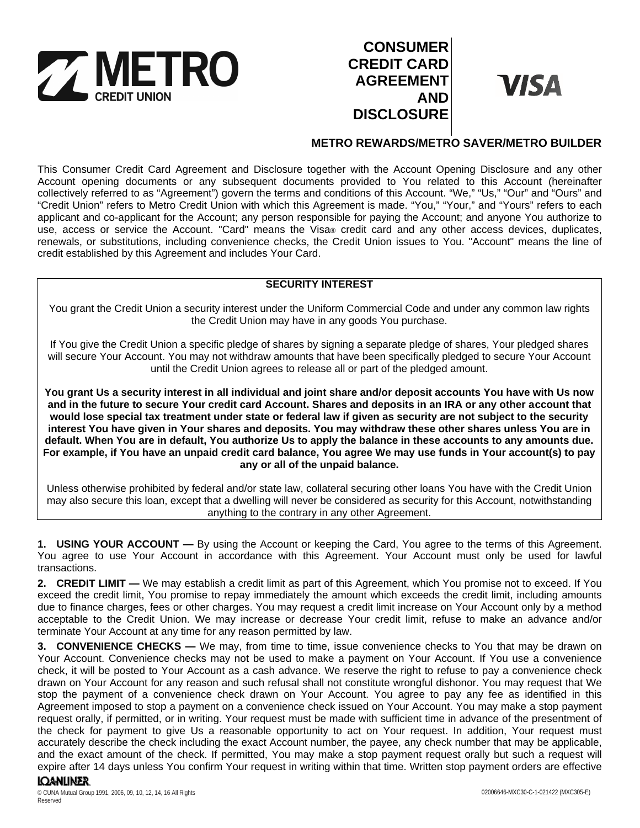

# **CONSUMER CREDIT CARD AGREEMENT AND DISCLOSURE**

**VISA** 

## **METRO REWARDS/METRO SAVER/METRO BUILDER**

This Consumer Credit Card Agreement and Disclosure together with the Account Opening Disclosure and any other Account opening documents or any subsequent documents provided to You related to this Account (hereinafter collectively referred to as "Agreement") govern the terms and conditions of this Account. "We," "Us," "Our" and "Ours" and "Credit Union" refers to Metro Credit Union with which this Agreement is made. "You," "Your," and "Yours" refers to each applicant and co-applicant for the Account; any person responsible for paying the Account; and anyone You authorize to use, access or service the Account. "Card" means the Visa® credit card and any other access devices, duplicates, renewals, or substitutions, including convenience checks, the Credit Union issues to You. "Account" means the line of credit established by this Agreement and includes Your Card.

## **SECURITY INTEREST**

You grant the Credit Union a security interest under the Uniform Commercial Code and under any common law rights the Credit Union may have in any goods You purchase.

If You give the Credit Union a specific pledge of shares by signing a separate pledge of shares, Your pledged shares will secure Your Account. You may not withdraw amounts that have been specifically pledged to secure Your Account until the Credit Union agrees to release all or part of the pledged amount.

**You grant Us a security interest in all individual and joint share and/or deposit accounts You have with Us now and in the future to secure Your credit card Account. Shares and deposits in an IRA or any other account that would lose special tax treatment under state or federal law if given as security are not subject to the security interest You have given in Your shares and deposits. You may withdraw these other shares unless You are in default. When You are in default, You authorize Us to apply the balance in these accounts to any amounts due. For example, if You have an unpaid credit card balance, You agree We may use funds in Your account(s) to pay any or all of the unpaid balance.**

Unless otherwise prohibited by federal and/or state law, collateral securing other loans You have with the Credit Union may also secure this loan, except that a dwelling will never be considered as security for this Account, notwithstanding anything to the contrary in any other Agreement.

**1. USING YOUR ACCOUNT —** By using the Account or keeping the Card, You agree to the terms of this Agreement. You agree to use Your Account in accordance with this Agreement. Your Account must only be used for lawful transactions.

**2. CREDIT LIMIT —** We may establish a credit limit as part of this Agreement, which You promise not to exceed. If You exceed the credit limit, You promise to repay immediately the amount which exceeds the credit limit, including amounts due to finance charges, fees or other charges. You may request a credit limit increase on Your Account only by a method acceptable to the Credit Union. We may increase or decrease Your credit limit, refuse to make an advance and/or terminate Your Account at any time for any reason permitted by law.

**3. CONVENIENCE CHECKS —** We may, from time to time, issue convenience checks to You that may be drawn on Your Account. Convenience checks may not be used to make a payment on Your Account. If You use a convenience check, it will be posted to Your Account as a cash advance. We reserve the right to refuse to pay a convenience check drawn on Your Account for any reason and such refusal shall not constitute wrongful dishonor. You may request that We stop the payment of a convenience check drawn on Your Account. You agree to pay any fee as identified in this Agreement imposed to stop a payment on a convenience check issued on Your Account. You may make a stop payment request orally, if permitted, or in writing. Your request must be made with sufficient time in advance of the presentment of the check for payment to give Us a reasonable opportunity to act on Your request. In addition, Your request must accurately describe the check including the exact Account number, the payee, any check number that may be applicable, and the exact amount of the check. If permitted, You may make a stop payment request orally but such a request will expire after 14 days unless You confirm Your request in writing within that time. Written stop payment orders are effective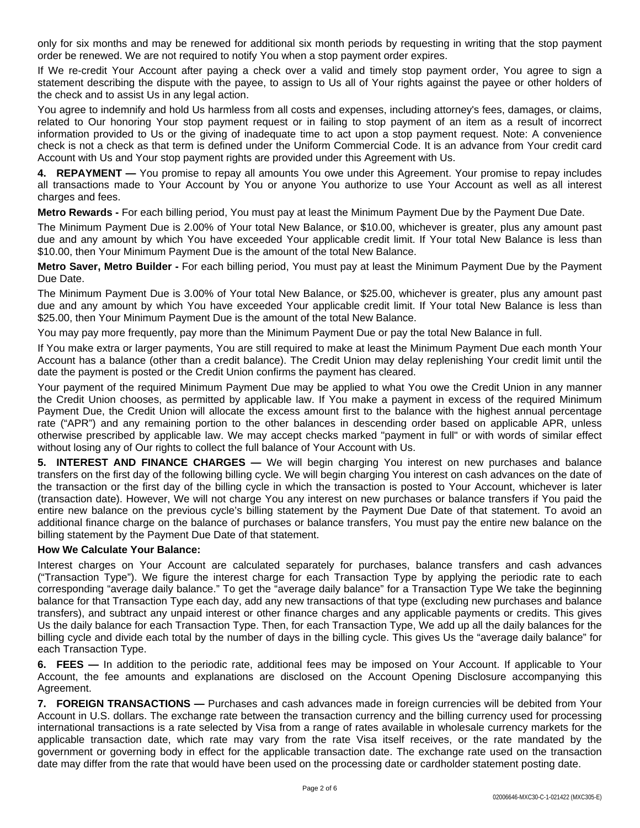only for six months and may be renewed for additional six month periods by requesting in writing that the stop payment order be renewed. We are not required to notify You when a stop payment order expires.

If We re-credit Your Account after paying a check over a valid and timely stop payment order, You agree to sign a statement describing the dispute with the payee, to assign to Us all of Your rights against the payee or other holders of the check and to assist Us in any legal action.

You agree to indemnify and hold Us harmless from all costs and expenses, including attorney's fees, damages, or claims, related to Our honoring Your stop payment request or in failing to stop payment of an item as a result of incorrect information provided to Us or the giving of inadequate time to act upon a stop payment request. Note: A convenience check is not a check as that term is defined under the Uniform Commercial Code. It is an advance from Your credit card Account with Us and Your stop payment rights are provided under this Agreement with Us.

**4. REPAYMENT —** You promise to repay all amounts You owe under this Agreement. Your promise to repay includes all transactions made to Your Account by You or anyone You authorize to use Your Account as well as all interest charges and fees.

**Metro Rewards -** For each billing period, You must pay at least the Minimum Payment Due by the Payment Due Date.

The Minimum Payment Due is 2.00% of Your total New Balance, or \$10.00, whichever is greater, plus any amount past due and any amount by which You have exceeded Your applicable credit limit. If Your total New Balance is less than \$10.00, then Your Minimum Payment Due is the amount of the total New Balance.

**Metro Saver, Metro Builder -** For each billing period, You must pay at least the Minimum Payment Due by the Payment Due Date.

The Minimum Payment Due is 3.00% of Your total New Balance, or \$25.00, whichever is greater, plus any amount past due and any amount by which You have exceeded Your applicable credit limit. If Your total New Balance is less than \$25.00, then Your Minimum Payment Due is the amount of the total New Balance.

You may pay more frequently, pay more than the Minimum Payment Due or pay the total New Balance in full.

If You make extra or larger payments, You are still required to make at least the Minimum Payment Due each month Your Account has a balance (other than a credit balance). The Credit Union may delay replenishing Your credit limit until the date the payment is posted or the Credit Union confirms the payment has cleared.

Your payment of the required Minimum Payment Due may be applied to what You owe the Credit Union in any manner the Credit Union chooses, as permitted by applicable law. If You make a payment in excess of the required Minimum Payment Due, the Credit Union will allocate the excess amount first to the balance with the highest annual percentage rate ("APR") and any remaining portion to the other balances in descending order based on applicable APR, unless otherwise prescribed by applicable law. We may accept checks marked "payment in full" or with words of similar effect without losing any of Our rights to collect the full balance of Your Account with Us.

**5. INTEREST AND FINANCE CHARGES —** We will begin charging You interest on new purchases and balance transfers on the first day of the following billing cycle. We will begin charging You interest on cash advances on the date of the transaction or the first day of the billing cycle in which the transaction is posted to Your Account, whichever is later (transaction date). However, We will not charge You any interest on new purchases or balance transfers if You paid the entire new balance on the previous cycle's billing statement by the Payment Due Date of that statement. To avoid an additional finance charge on the balance of purchases or balance transfers, You must pay the entire new balance on the billing statement by the Payment Due Date of that statement.

## **How We Calculate Your Balance:**

Interest charges on Your Account are calculated separately for purchases, balance transfers and cash advances ("Transaction Type"). We figure the interest charge for each Transaction Type by applying the periodic rate to each corresponding "average daily balance." To get the "average daily balance" for a Transaction Type We take the beginning balance for that Transaction Type each day, add any new transactions of that type (excluding new purchases and balance transfers), and subtract any unpaid interest or other finance charges and any applicable payments or credits. This gives Us the daily balance for each Transaction Type. Then, for each Transaction Type, We add up all the daily balances for the billing cycle and divide each total by the number of days in the billing cycle. This gives Us the "average daily balance" for each Transaction Type.

**6. FEES —** In addition to the periodic rate, additional fees may be imposed on Your Account. If applicable to Your Account, the fee amounts and explanations are disclosed on the Account Opening Disclosure accompanying this Agreement.

**7. FOREIGN TRANSACTIONS —** Purchases and cash advances made in foreign currencies will be debited from Your Account in U.S. dollars. The exchange rate between the transaction currency and the billing currency used for processing international transactions is a rate selected by Visa from a range of rates available in wholesale currency markets for the applicable transaction date, which rate may vary from the rate Visa itself receives, or the rate mandated by the government or governing body in effect for the applicable transaction date. The exchange rate used on the transaction date may differ from the rate that would have been used on the processing date or cardholder statement posting date.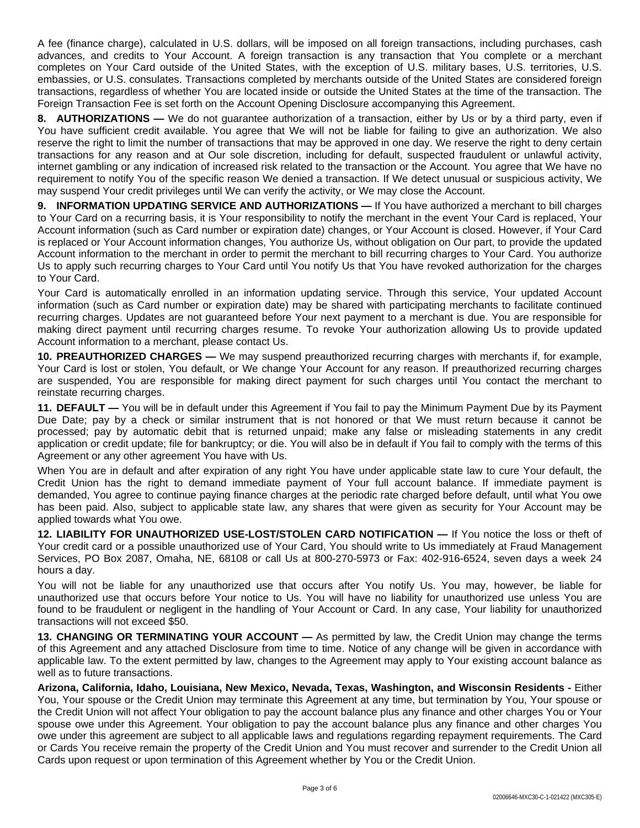A fee (finance charge), calculated in U.S. dollars, will be imposed on all foreign transactions, including purchases, cash advances, and credits to Your Account. A foreign transaction is any transaction that You complete or a merchant completes on Your Card outside of the United States, with the exception of U.S. military bases, U.S. territories, U.S. embassies, or U.S. consulates. Transactions completed by merchants outside of the United States are considered foreign transactions, regardless of whether You are located inside or outside the United States at the time of the transaction. The Foreign Transaction Fee is set forth on the Account Opening Disclosure accompanying this Agreement.

**8. AUTHORIZATIONS —** We do not guarantee authorization of a transaction, either by Us or by a third party, even if You have sufficient credit available. You agree that We will not be liable for failing to give an authorization. We also reserve the right to limit the number of transactions that may be approved in one day. We reserve the right to deny certain transactions for any reason and at Our sole discretion, including for default, suspected fraudulent or unlawful activity, internet gambling or any indication of increased risk related to the transaction or the Account. You agree that We have no requirement to notify You of the specific reason We denied a transaction. If We detect unusual or suspicious activity, We may suspend Your credit privileges until We can verify the activity, or We may close the Account.

**9. INFORMATION UPDATING SERVICE AND AUTHORIZATIONS —** If You have authorized a merchant to bill charges to Your Card on a recurring basis, it is Your responsibility to notify the merchant in the event Your Card is replaced, Your Account information (such as Card number or expiration date) changes, or Your Account is closed. However, if Your Card is replaced or Your Account information changes, You authorize Us, without obligation on Our part, to provide the updated Account information to the merchant in order to permit the merchant to bill recurring charges to Your Card. You authorize Us to apply such recurring charges to Your Card until You notify Us that You have revoked authorization for the charges to Your Card.

Your Card is automatically enrolled in an information updating service. Through this service, Your updated Account information (such as Card number or expiration date) may be shared with participating merchants to facilitate continued recurring charges. Updates are not guaranteed before Your next payment to a merchant is due. You are responsible for making direct payment until recurring charges resume. To revoke Your authorization allowing Us to provide updated Account information to a merchant, please contact Us.

**10. PREAUTHORIZED CHARGES —** We may suspend preauthorized recurring charges with merchants if, for example, Your Card is lost or stolen, You default, or We change Your Account for any reason. If preauthorized recurring charges are suspended, You are responsible for making direct payment for such charges until You contact the merchant to reinstate recurring charges.

**11. DEFAULT —** You will be in default under this Agreement if You fail to pay the Minimum Payment Due by its Payment Due Date; pay by a check or similar instrument that is not honored or that We must return because it cannot be processed; pay by automatic debit that is returned unpaid; make any false or misleading statements in any credit application or credit update; file for bankruptcy; or die. You will also be in default if You fail to comply with the terms of this Agreement or any other agreement You have with Us.

When You are in default and after expiration of any right You have under applicable state law to cure Your default, the Credit Union has the right to demand immediate payment of Your full account balance. If immediate payment is demanded, You agree to continue paying finance charges at the periodic rate charged before default, until what You owe has been paid. Also, subject to applicable state law, any shares that were given as security for Your Account may be applied towards what You owe.

**12. LIABILITY FOR UNAUTHORIZED USE-LOST/STOLEN CARD NOTIFICATION —** If You notice the loss or theft of Your credit card or a possible unauthorized use of Your Card, You should write to Us immediately at Fraud Management Services, PO Box 2087, Omaha, NE, 68108 or call Us at 800-270-5973 or Fax: 402-916-6524, seven days a week 24 hours a day.

You will not be liable for any unauthorized use that occurs after You notify Us. You may, however, be liable for unauthorized use that occurs before Your notice to Us. You will have no liability for unauthorized use unless You are found to be fraudulent or negligent in the handling of Your Account or Card. In any case, Your liability for unauthorized transactions will not exceed \$50.

**13. CHANGING OR TERMINATING YOUR ACCOUNT —** As permitted by law, the Credit Union may change the terms of this Agreement and any attached Disclosure from time to time. Notice of any change will be given in accordance with applicable law. To the extent permitted by law, changes to the Agreement may apply to Your existing account balance as well as to future transactions.

**Arizona, California, Idaho, Louisiana, New Mexico, Nevada, Texas, Washington, and Wisconsin Residents -** Either You, Your spouse or the Credit Union may terminate this Agreement at any time, but termination by You, Your spouse or the Credit Union will not affect Your obligation to pay the account balance plus any finance and other charges You or Your spouse owe under this Agreement. Your obligation to pay the account balance plus any finance and other charges You owe under this agreement are subject to all applicable laws and regulations regarding repayment requirements. The Card or Cards You receive remain the property of the Credit Union and You must recover and surrender to the Credit Union all Cards upon request or upon termination of this Agreement whether by You or the Credit Union.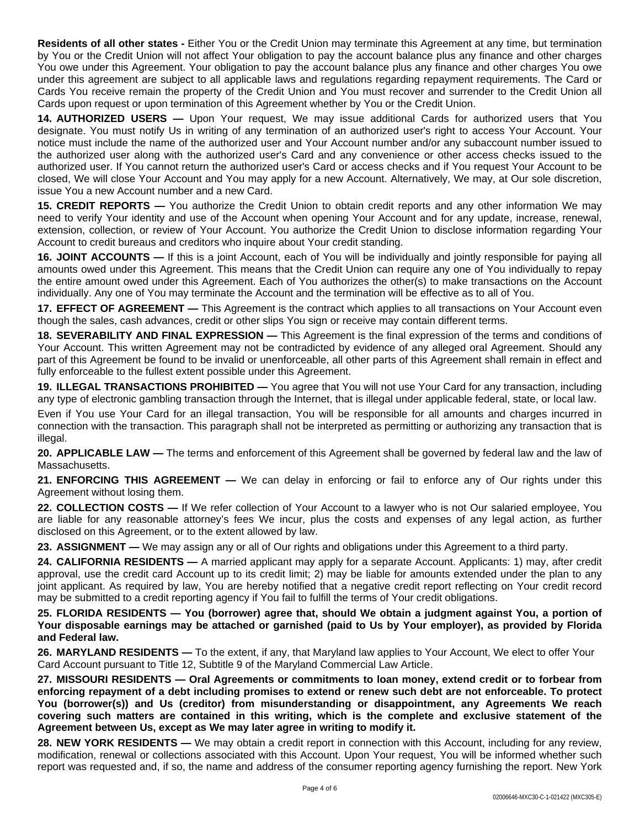**Residents of all other states -** Either You or the Credit Union may terminate this Agreement at any time, but termination by You or the Credit Union will not affect Your obligation to pay the account balance plus any finance and other charges You owe under this Agreement. Your obligation to pay the account balance plus any finance and other charges You owe under this agreement are subject to all applicable laws and regulations regarding repayment requirements. The Card or Cards You receive remain the property of the Credit Union and You must recover and surrender to the Credit Union all Cards upon request or upon termination of this Agreement whether by You or the Credit Union.

**14. AUTHORIZED USERS —** Upon Your request, We may issue additional Cards for authorized users that You designate. You must notify Us in writing of any termination of an authorized user's right to access Your Account. Your notice must include the name of the authorized user and Your Account number and/or any subaccount number issued to the authorized user along with the authorized user's Card and any convenience or other access checks issued to the authorized user. If You cannot return the authorized user's Card or access checks and if You request Your Account to be closed, We will close Your Account and You may apply for a new Account. Alternatively, We may, at Our sole discretion, issue You a new Account number and a new Card.

**15. CREDIT REPORTS —** You authorize the Credit Union to obtain credit reports and any other information We may need to verify Your identity and use of the Account when opening Your Account and for any update, increase, renewal, extension, collection, or review of Your Account. You authorize the Credit Union to disclose information regarding Your Account to credit bureaus and creditors who inquire about Your credit standing.

**16. JOINT ACCOUNTS —** If this is a joint Account, each of You will be individually and jointly responsible for paying all amounts owed under this Agreement. This means that the Credit Union can require any one of You individually to repay the entire amount owed under this Agreement. Each of You authorizes the other(s) to make transactions on the Account individually. Any one of You may terminate the Account and the termination will be effective as to all of You.

**17. EFFECT OF AGREEMENT —** This Agreement is the contract which applies to all transactions on Your Account even though the sales, cash advances, credit or other slips You sign or receive may contain different terms.

**18. SEVERABILITY AND FINAL EXPRESSION —** This Agreement is the final expression of the terms and conditions of Your Account. This written Agreement may not be contradicted by evidence of any alleged oral Agreement. Should any part of this Agreement be found to be invalid or unenforceable, all other parts of this Agreement shall remain in effect and fully enforceable to the fullest extent possible under this Agreement.

**19. ILLEGAL TRANSACTIONS PROHIBITED —** You agree that You will not use Your Card for any transaction, including any type of electronic gambling transaction through the Internet, that is illegal under applicable federal, state, or local law.

Even if You use Your Card for an illegal transaction, You will be responsible for all amounts and charges incurred in connection with the transaction. This paragraph shall not be interpreted as permitting or authorizing any transaction that is illegal.

**20. APPLICABLE LAW —** The terms and enforcement of this Agreement shall be governed by federal law and the law of Massachusetts.

**21. ENFORCING THIS AGREEMENT —** We can delay in enforcing or fail to enforce any of Our rights under this Agreement without losing them.

**22. COLLECTION COSTS —** If We refer collection of Your Account to a lawyer who is not Our salaried employee, You are liable for any reasonable attorney's fees We incur, plus the costs and expenses of any legal action, as further disclosed on this Agreement, or to the extent allowed by law.

**23. ASSIGNMENT —** We may assign any or all of Our rights and obligations under this Agreement to a third party.

**24. CALIFORNIA RESIDENTS —** A married applicant may apply for a separate Account. Applicants: 1) may, after credit approval, use the credit card Account up to its credit limit; 2) may be liable for amounts extended under the plan to any joint applicant. As required by law, You are hereby notified that a negative credit report reflecting on Your credit record may be submitted to a credit reporting agency if You fail to fulfill the terms of Your credit obligations.

25. FLORIDA RESIDENTS — You (borrower) agree that, should We obtain a judgment against You, a portion of Your disposable earnings may be attached or garnished (paid to Us by Your employer), as provided by Florida **and Federal law.**

**26. MARYLAND RESIDENTS —** To the extent, if any, that Maryland law applies to Your Account, We elect to offer Your Card Account pursuant to Title 12, Subtitle 9 of the Maryland Commercial Law Article.

**27. MISSOURI RESIDENTS — Oral Agreements or commitments to loan money, extend credit or to forbear from** enforcing repayment of a debt including promises to extend or renew such debt are not enforceable. To protect **You (borrower(s)) and Us (creditor) from misunderstanding or disappointment, any Agreements We reach covering such matters are contained in this writing, which is the complete and exclusive statement of the Agreement between Us, except as We may later agree in writing to modify it.**

**28. NEW YORK RESIDENTS —** We may obtain a credit report in connection with this Account, including for any review, modification, renewal or collections associated with this Account. Upon Your request, You will be informed whether such report was requested and, if so, the name and address of the consumer reporting agency furnishing the report. New York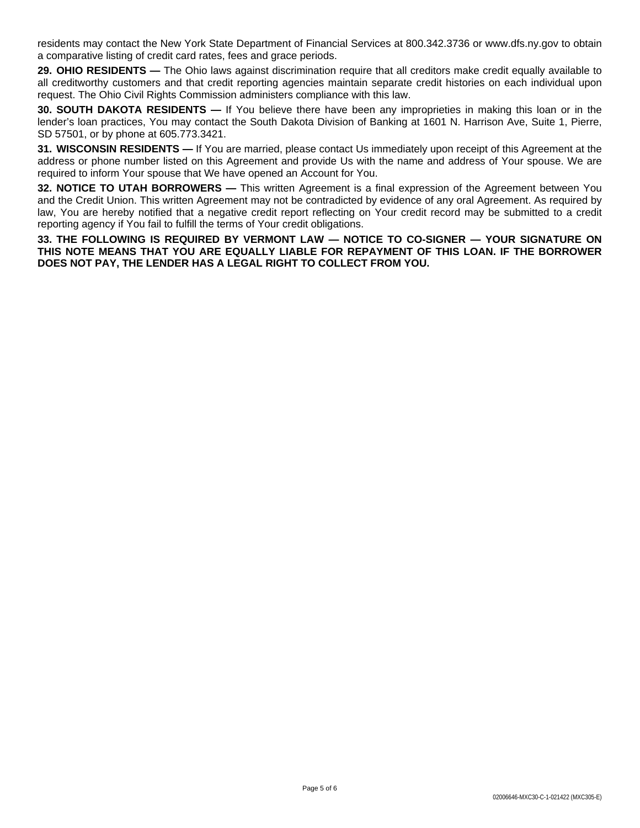residents may contact the New York State Department of Financial Services at 800.342.3736 or www.dfs.ny.gov to obtain a comparative listing of credit card rates, fees and grace periods.

**29. OHIO RESIDENTS —** The Ohio laws against discrimination require that all creditors make credit equally available to all creditworthy customers and that credit reporting agencies maintain separate credit histories on each individual upon request. The Ohio Civil Rights Commission administers compliance with this law.

**30. SOUTH DAKOTA RESIDENTS —** If You believe there have been any improprieties in making this loan or in the lender's loan practices, You may contact the South Dakota Division of Banking at 1601 N. Harrison Ave, Suite 1, Pierre, SD 57501, or by phone at 605.773.3421.

**31. WISCONSIN RESIDENTS —** If You are married, please contact Us immediately upon receipt of this Agreement at the address or phone number listed on this Agreement and provide Us with the name and address of Your spouse. We are required to inform Your spouse that We have opened an Account for You.

**32. NOTICE TO UTAH BORROWERS —** This written Agreement is a final expression of the Agreement between You and the Credit Union. This written Agreement may not be contradicted by evidence of any oral Agreement. As required by law, You are hereby notified that a negative credit report reflecting on Your credit record may be submitted to a credit reporting agency if You fail to fulfill the terms of Your credit obligations.

**33. THE FOLLOWING IS REQUIRED BY VERMONT LAW — NOTICE TO CO-SIGNER — YOUR SIGNATURE ON THIS NOTE MEANS THAT YOU ARE EQUALLY LIABLE FOR REPAYMENT OF THIS LOAN. IF THE BORROWER DOES NOT PAY, THE LENDER HAS A LEGAL RIGHT TO COLLECT FROM YOU.**